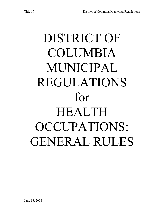# DISTRICT OF COLUMBIA MUNICIPAL REGULATIONS for HEALTH OCCUPATIONS: GENERAL RULES

June 13, 2008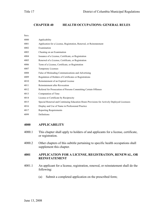## **CHAPTER 40 HEALTH OCCUPATIONS: GENERAL RULES**

| Secs. |                                                                                           |
|-------|-------------------------------------------------------------------------------------------|
| 4000  | Applicability                                                                             |
| 4001  | Application for a License, Registration, Renewal, or Reinstatement                        |
| 4002  | Examination                                                                               |
| 4003  | Cheating on an Examination                                                                |
| 4004  | Issuance of a License, Certificate, or Registration                                       |
| 4005  | Renewal of a License, Certificate, or Registration                                        |
| 4006  | Term of a License, Certificate, or Registration                                           |
| 4007  | <b>Temporary Licenses</b>                                                                 |
| 4008  | False of Misleading Communications and Advertising                                        |
| 4009  | Regulation of Holders of Certificates or Registrations                                    |
| 4010  | Reinstatement of an Expired License                                                       |
| 4011  | Reinstatement after Revocation                                                            |
| 4012  | Referral for Prosecution of Persons Committing Certain Offenses                           |
| 4013  | Computation of Time                                                                       |
| 4014  | License or Certificate by Reciprocity                                                     |
| 4015  | Special Renewal and Continuing Education Hours Provisions for Actively Deployed Licensees |
| 4016  | Display and Use of Name in Professional Practice                                          |
| 4017  | <b>Reporting Requirements</b>                                                             |
| 4099  | Definitions                                                                               |

## **4000 APPLICABILITY**

- 4000.1 This chapter shall apply to holders of and applicants for a license, certificate, or registration.
- 4000.2 Other chapters of this subtitle pertaining to specific health occupations shall supplement this chapter.

## **4001 APPLICATION FOR A LICENSE, REGISTRATION, RENEWAL, OR REINSTATEMENT**

- 4001.1 An applicant for a license, registration, renewal, or reinstatement shall do the following:
	- (a) Submit a completed application on the prescribed form;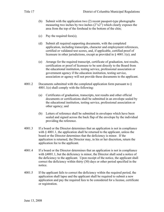- (b) Submit with the application two (2) recent passport-type photographs measuring two inches by two inches  $(2"x2")$  which clearly exposes the area from the top of the forehead to the bottom of the chin;
- (c) Pay the required fees(s);
- (d) Submit all required supporting documents, with the completed application, including transcripts, character and employment references, certified or validated test scores, and, if applicable, certified proof of licensure in other jurisdictions, except as provided in § 4001.1(e); and
- (e) Arrange for the required transcript, certificate of graduation, test results, certification or proof of licensure to be sent directly to the Board from the educational institution, testing service, professional association or government agency if the education institution, testing service, association or agency will not provide these documents to the applicant.
- 4001.2 Documents submitted with the completed application form pursuant to § 4001.1(e) shall comply with the following:
	- (a) Certificates of graduation, transcripts, test results and other official documents or certifications shall be submitted in an envelope sealed by the educational institution, testing service, professional association or other agency; and
	- (b) Letters of reference shall be submitted in envelopes which have been sealed and signed across the back flap of the envelope by the individual providing the reference.
- 4001.3 If a board or the Director determines that an application is not in compliance with  $\&$  4001.1, the application shall be returned to the applicant, unless the board or the Director determines that the deficiency is minor. If the application is returned, the Director may, in his or her discretion, return the application fee to the applicant.
- 4001.4 If a board or the Director determines that an application is not in compliance with §4001.1, but the deficiency is minor, the Director shall send a notice of the deficiency to the applicant. Upon receipt of the notice, the applicant shall correct the deficiency within thirty (30) days or other period specified in the notice.
- 4001.5 If the applicant fails to correct the deficiency within the required period, the application shall lapse and the applicant shall be required to submit a new application and pay the required fees to be considered for a license, certificate or registration.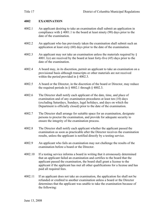# **4002 EXAMINATION**

- 4002.1 An applicant desiring to take an examination shall submit an application in compliance with § 4001.1 to the board at least ninety (90) days prior to the date of the examination.
- 4002.2 An applicant who has previously taken the examination shall submit such an application at least sixty (60) days prior to the date of the examination.
- 4002.3 An applicant may not take an examination unless the materials required by § 4001.1(e) are received by the board at least forty-five (45) days prior to the date of the examination.
- 4002.4 A board may, in its discretion, permit an applicant to take an examination on a provisional basis although transcripts or other materials are not received within the period provided in § 4002.3.
- 4002.5 A board or the Director, in the discretion of the board or Director, may reduce the required periods in  $\S$  4002.1 through  $\S$  4002.3.
- 4002.6 The Director shall notify each applicant of the date, time, and place of examination and of any examination procedures at least ten (10) days (excluding Saturdays, Sundays, legal holidays, and days on which the Department is officially closed) prior to the date of the examination.
- 4002.7 The Director shall arrange for suitable space for an examination, designate persons to proctor the examination, and provide for adequate security to ensure the integrity of the examination process.
- 4002.8 The Director shall notify each applicant whether the applicant passed the examination as soon as practicable after the Director receives the examination results, unless the applicant is notified directly by a testing service.
- 4002.9 An applicant who fails an examination may not challenge the results of the examination before a board or the Director.
- 4002.10 If a testing service informs a board in writing that it erroneously determined that an applicant failed an examination and certifies to the board that the applicant passed the examination, the board shall grant a license to the applicant if the applicant has met all other qualifications for a license and has paid all required fees.
- 4002.11 If an applicant does not take an examination, the application fee shall not be refunded or credited to another examination unless a board or the Director determines that the applicant was unable to take the examination because of the following: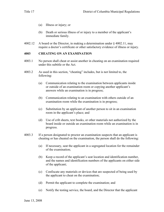- (a) Illness or injury; or
- (b) Death or serious illness of or injury to a member of the applicant's immediate family.
- 4002.12 A board or the Director, in making a determination under  $\S$  4002.11, may require a doctor's certificate or other satisfactory evidence of illness or injury.

### **4003 CHEATING ON AN EXAMINATION**

- 4003.1 No person shall cheat or assist another in cheating on an examination required under this subtitle or the Act.
- 4003.2 As used in this section, "cheating" includes, but is not limited to, the following:
	- (a) Communication relating to the examination between applicants inside or outside of an examination room or copying another applicant's answers while an examination is in progress;
	- (b) Communication relating to an examination with others outside of an examination room while the examination is in progress;
	- (c) Substitution by an applicant of another person to sit in an examination room in the applicant's place; and
	- (d) Use of crib sheets, text books, or other materials not authorized by the board inside or outside an examination room while an examination is in progress.
- 4003.3 If a person designated to proctor an examination suspects that an applicant is cheating or has cheated on the examination, the person shall do the following:
	- (a) If necessary, seat the applicant in a segregated location for the remainder of the examination;
	- (b) Keep a record of the applicant's seat location and identification number, and the names and identification numbers of the applicants on either side of the applicant;
	- (c) Confiscate any materials or devices that are suspected of being used by the applicant to cheat on the examination;
	- (d) Permit the applicant to complete the examination; and
	- (e) Notify the testing service, the board, and the Director that the applicant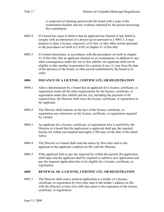is suspected of cheating and provide the board with a copy of the examination booklet and any evidence obtained by the person proctoring the examination.

- 4003.4 If a board has cause to believe that an applicant has cheated or has failed to comply with an instruction of a proctor given pursuant to  $\S$  4003.3, it may propose to deny a license, imposed a civil fine, or take other actions pursuant to the procedures set forth in § 4102 of chapter 41 of this title.
- 4003.5 If a board determines, in accordance with the procedures set forth in chapter 41 of this title, that an applicant cheated on an examination, in addition to any other consequences under the Act or this subtitle, the applicant shall not be eligible to take another examination for a period of one (1) year from the date of the decision of the board, or other period established by the board in its order.

### **4004 ISSUANCE OF A LICENSE, CERTIFICATE, OR REGISTRATION**

- 4004.1 After a determination by a board that an applicant for a license, certificate, or registration meets all the other requirements for the license, certificate, or registration under this subtitle and the Act, including the payment of all required fees, the Director shall issue the license, certificate, or registration to the applicant.
- 4004.2 The Director shall indicate on the face of the license, certificate, or registration any restriction on the license, certificate, or registration required by a board.
- 4004.3 An applicant for a license, certificate, or registration who is notified by the Director or a board that the application is approved shall pay the required license fee within one hundred and eighty (180) days of the date of the initial notice.
- 4004.4 The Director or a board shall send the notice by first class mail to the applicant at the applicant's address on file with the Director.
- 4004.5 If the applicant fails to pay the required fee within this period, the application shall lapse and the applicant shall be required to submit a new application and pay the required application fees to be eligible for a license, certificate, or registration.

## **4005 RENEWAL OF A LICENSE, CERTIFICATE, OR REGISTRATION**

4005.1 The Director shall send a renewal application to a holder of a license, certificate, or registration by first class mail to the holder's address on file with the Director at least sixty (60) days prior to the expiration of the license, certificate, or registration.

June 13, 2008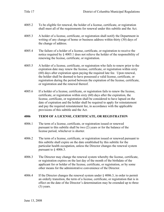- 4005.2 To be eligible for renewal, the holder of a license, certificate, or registration shall meet all of the requirements for renewal under this subtitle and the Act.
- 4005.3 A holder of a license, certificate, or registration shall notify the Department in writing of any change of home or business address within thirty (30) days of the change of address.
- 4005.4 The failure of a holder of a license, certificate, or registration to receive the notice required by § 4005.1 does not relieve the holder of the responsibility of renewing the license, certificate, or registration.
- 4005.5 A holder of a license, certificate, or registration who fails to renew prior to the expiration date may renew the license, certificate, or registration within sixty (60) days after expiration upon paying the required late fee. Upon renewal, the holder shall be deemed to have possessed a valid license, certificate, or registration during the period between the expiration of the license, certificate, or registration and the renewal thereof.
- 4005.6 If a holder of a license, certificate, or registration fails to renew the license, certificate, or registration within sixty (60) days after the expiration, the license, certificate, or registration shall be considered to have lapsed on the date of expiration and the holder shall be required to apply for reinstatement and pay the required reinstatement fee, in accordance with the applicable provisions of this subtitle and the Act.

## **4006 TERM OF A LICENSE, CERTIFICATE, OR REGISTRATION**

- 4006.1 The term of a license, certificate, or registration issued or renewed pursuant to this subtitle shall be two (2) years or for the balance of the license period, whichever is shorter.
- 4006.2 The term of a license, certificate, or registration issued or renewed pursuant to this subtitle shall expire on the date established by this subtitle for the particular health occupation, unless the Director changes the renewal system pursuant to § 4006.3.
- 4006.3 The Director may change the renewal system whereby the license, certificate, or registration expires on the last day of the month of the birthdate of the applicant for or holder of the license, certificate, or registration, or by some other means for the administrative convenience of the Director.
- 4006.4 If the Director changes the renewal system under § 4006.3, in order to permit an orderly transition, the term of a license, certificate, or registration that is in effect on the date of the Director's determination may be extended up to three (3) years.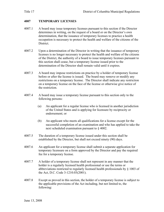# **4007 TEMPORARY LICENSES**

- 4007.1 A board may issue temporary licenses pursuant to this section if the Director determines in writing, on the request of a board or on the Director's own determination, that the issuance of temporary licenses to practice a health occupation is necessary to protect the health and welfare of the citizens of the District.
- 4007.2 Upon a determination of the Director in writing that the issuance of temporary licenses is no longer necessary to protect the health and welfare of the citizens of the District, the authority of a board to issue temporary licenses pursuant to this section shall cease, but a temporary license issued prior to the determination of the Director shall remain valid until it expires.
- 4007.3 A board may impose restrictions on practice by a holder of temporary license before or after the license is issued. The board may remove or modify any restrictions on a temporary license. The Director shall indicate any restriction on a temporary license on the face of the license or otherwise give notice of the restriction.
- 4007.4 A board may issue a temporary license pursuant to this section only to the following persons:
	- (a) An applicant for a regular license who is licensed in another jurisdiction of the United States and is applying for licensure by reciprocity or endorsement; or
	- (b) An applicant who meets all qualifications for a license except for the successful completion of an examination and who has applied to take the next scheduled examination pursuant to § 4002.
- 4007.5 The duration of a temporary license issued under this section shall be established by the Director, but shall not exceed ninety (90) days.
- 4007.6 An applicant for a temporary license shall submit a separate application for temporary licensure on a form approved by the Director and pay the required fee for a temporary license.
- 4007.7 A holder of a temporary license shall not represent in any manner that the holder is a regularly licensed health professional or use the terms or abbreviations restricted to regularly licensed health professionals by § 1003 of the Act, D.C. Code 3-1210.03(2001).
- 4007.8 Except as proved in this section, the holder of a temporary license is subject to the applicable provisions of the Act including, but not limited to, the following: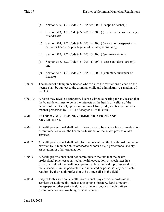- (a) Section 509, D.C. Code § 3-1205.09 (2001) (scope of license);
- (b) Section 513, D.C. Code § 3-1205.13 (2001) (display of licenses; change of address);
- (c) Section 514, D.C. Code § 3-1205.14 (2001) (revocation, suspension or denial or license or privilege; civil penalty; reprimand);
- (d) Section 515, D.C. Code § 3-1205.15 (2001) (summary action);
- (e) Section 516, D.C. Code § 3-1205.16 (2001) (cease and desist orders); and
- (f) Section 517, D.C. Code  $\S$  3-1205.17 (2001) (voluntary surrender of license).
- 4007.9 The holder of a temporary license who violates the restrictions placed on the license shall be subject to the criminal, civil, and administrative sanctions of the Act.
- 4007.10 A board may revoke a temporary license without a hearing for any reason that the board determines to be in the interests of the health or welfare of the citizens of the District, upon a minimum of five (5) days notice given in the manner prescribed by § 4105 of chapter 41 of this title.

# **4008 FALSE OR MISLEADING COMMUNICATIONS AND ADVERTISING**

- 4008.1 A health professional shall not make or cause to be made a false or misleading communication about the health professional or the health professional's services.
- 4008.2 A health professional shall not falsely represent that the health professional is certified by, a member of, or otherwise endorsed by, a professional society, association, or other organization.
- 4008.3 A health professional shall not communicate the fact that the health professional practices a particular health occupation, or specializes in a particular field of the health occupation, unless the health professional is in fact a specialist in the particular field indicated or possesses any certificate required by the health profession to be a specialist in the field.
- 4008.4 Subject to this section, a health professional may advertise professional services through media, such as a telephone directory, legal directory, newspaper or other periodical, radio or television, or through written communication not involving personal contact.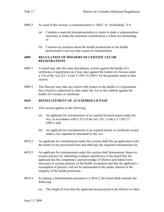- 4008.5 As used in this section, a communication is "false" or "misleading" if it:
	- (a) Contains a material misrepresentation or omits to make a representation necessary to make the statement considered as a whole not misleading; or
	- (b) Contains an assertion about the health professional or the health professional's services that cannot be substantiated.

# **4009 REGULATION OF HOLDERS OF CERTIFICATE OR REGISTRATIONS**

- 4009.1 A board may take the same disciplinary actions against the holder of a certificate or registration as it may take against the holder of a license under § 514 of the Act, D.C. Code 3-1205.14 (2001) for the grounds stated in that section.
- 4009.2 The Director may take any action with respect to the holder of a registration that a board is authorized to take under the Act or this subtitle against the holder of a license or certificate.

# **4010 REINSTATEMENT OF AN EXPIRED LICENSE**

- 4010.1 This section applies to the following:
	- (a) An applicant for reinstatement of an expired licensed issued under the Act, in accordance with § 512 of the Act, D.C. Code § 3-1205.12 (2001); and
	- (b) An applicant for reinstatement of an expired license or certificate issued under a law repealed or amended by the Act.
- 4010.2 An applicant for reinstatement under this section shall file an application with the board on the prescribed form and shall pay the required reinstatement fee.
- 4010.3 An applicant for reinstatement under this section shall demonstrate fitness to resume practice by submitting evidence satisfactory to the board that the applicant has the competency and knowledge of District and federal laws necessary to resume practice of the health occupation and that the applicant's resumption of practice will not be detrimental to the public interest or the integrity of the health profession.
- 4010.4 In making a determination pursuant to § 4010.3, the board shall consider the following:
	- (a) The length of time that the applicant has practiced in the District or other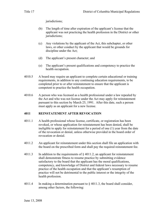jurisdictions;

- (b) The length of time after expiration of the applicant's license that the applicant was not practicing the health profession in the District or other jurisdictions;
- (c) Any violations by the applicant of the Act, this subchapter, or other laws, or other conduct by the applicant that would be grounds for discipline under the Act;
- (d) The applicant's present character; and
- (e) The applicant's present qualifications and competency to practice the health occupation.
- 4010.5 A board may require an applicant to complete certain educational or training requirements, in addition to any continuing education requirements, to be completed prior to or after reinstatement to ensure that the applicant is competent to practice the health occupation.
- 4010.6 A person who was licensed as a health professional under a law repealed by the Act and who was not license under the Act may apply for reinstatement pursuant to this section by March 25, 1991. After this date, such a person must apply as an applicant for a new license.

# **4011 REINSTATEMENT AFTER REVOCATION**

- 4011.1 A health professional whose license, certificate, or registration has been revoked, or whose application for reinstatement has been denied, shall be ineligible to apply for reinstatement for a period of one (1) year from the date of the revocation or denial, unless otherwise provided in the board order of revocation or denial.
- 4011.2 An applicant for reinstatement under this section shall file an application with the board on the prescribed form and shall pay the required reinstatement fee.
- 4011.3 In addition to the requirements of  $\S$  4011.2, an applicant for reinstatement shall demonstrate fitness to resume practice by submitting evidence satisfactory to the board that the applicant has the moral qualifications, competency, and knowledge of District and federal laws necessary to resume practice of the health occupation and that the applicant's resumption of practice will not be detrimental to the public interest or the integrity of the health profession.
- 4011.4 In making a determination pursuant to § 4011.3, the board shall consider, among other factors, the following: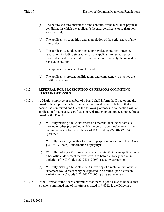- (a) The nature and circumstances of the conduct, or the mental or physical condition, for which the applicant's license, certificate, or registration was revoked;
- (b) The applicant's recognition and appreciation of the seriousness of any misconduct;
- (c) The applicant's conduct, or mental or physical condition, since the revocation, including steps taken by the applicant to remedy prior misconduct and prevent future misconduct, or to remedy the mental or physical condition;
- (d) The applicant's present character; and
- (e) The applicant's present qualifications and competency to practice the health occupation.

## **4012 REFERRAL FOR PROSECUTION OF PERSONS COMMITING CERTAIN OFFENSES**

- 4012.1 A District employee or member of a board shall inform the Director and the board if the employee or board member has good cause to believe that a person has committed one (1) of the following offenses in connection with an application for a license, certificate, or registration or any proceeding before a board or the Director:
	- (a) Willfully making a false statement of a material fact under oath at a hearing or other proceeding which the person does not believe is true and in fact is not true in violation of D.C. Code § 22-2402 (2005) (perjury);
	- (b) Willfully procuring another to commit perjury in violation of D.C. Code § 22-2403 (2005) (subornation of perjury);
	- (c) Willfully making a false statement of a material fact on an application or other official document that was sworn to before a notary public in violation of D.C. Code § 22-2404 (2005) (false swearing); or
	- (d) Willfully making a false statement in writing of a material fact or which statement would reasonably be expected to be relied upon as true in violation of D.C. Code § 22-2405 (2005) (false statements).
- 4012.2 If the Director or the board determines that there is good cause to believe that a person committed one of the offenses listed in § 4012.1, the Director or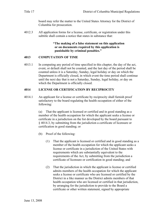board may refer the matter to the United States Attorney for the District of Columbia for prosecution.

4012.3 All application forms for a license, certificate, or registration under this subtitle shall contain a notice that states in substance that:

## **"The making of a false statement on this application or on documents required by this application is punishable by criminal penalties."**

# **4013 COMPUTATION OF TIME**

4013.1 In computing any period of time specified in this chapter, the day of the act, event, or default shall not be counted, and the last day of the period shall be counted unless it is a Saturday, Sunday, legal holiday or day on which the Department is officially closed, in which event the time period shall continue until the next day that is not a Saturday, Sunday, legal holiday, or day on which the Department is officially closed.

## **4014 LICENSE OR CERTIFICATION BY RECIPROCITY**

4014.1 An applicant for a license or certificate by reciprocity shall furnish proof satisfactory to the board regulating the health occupation of either of the following:

> (a) That the applicant is licensed or certified and in good standing as a member of the health occupation for which the applicant seeks a license or certificate in a jurisdiction on the list developed by the board pursuant to § 4014.3, by submitting from the jurisdiction a certificate of licensure or certification in good standing; or

- (b) Proof of the following:
	- (1) That the applicant is licensed or certified and in good standing as a member of the health occupation for which the applicant seeks a license or certificate in a jurisdiction of the United States with requirements which are substantially equivalent to the requirements of the Act, by submitting from the jurisdiction a certificate of licensure or certification in good standing; and
	- (2) That the jurisdiction in which the applicant is license or certified admits members of the health occupation for which the applicant seeks a license or certificate who are licensed or certified by the District in a like manner as the District admits members of that health occupation who are licensed or certified in that jurisdiction, by arranging for the jurisdiction to provide to the Board a certificate or other written statement, signed by appropriate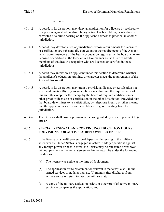officials.

- 4014.2 A board, in its discretion, may deny an application for a license by reciprocity of a person against whom disciplinary action has been taken, or who has been convicted of a crime bearing on the applicant's fitness to practice, in another jurisdiction.
- 4014.3 A board may develop a list of jurisdictions whose requirements for licensure or certification are substantially equivalent to the requirements of the Act and which admit members of the health occupation regulated by the board who are licensed or certified in the District in a like manner as the District admits members of that health occupation who are licensed or certified in those jurisdictions.
- 4014.4 A board may interview an applicant under this section to determine whether the applicant's education, training, or character meets the requirements of the Act and this subtitle.
- 4014.5 A board, in its discretion, may grant a provisional license or certification not to exceed ninety (90) days to an applicant who has met the requirements of this subtitle except for the receipt by the board of required certification or other proof or licensure or certification in the other jurisdiction; Provided, that that board determines to its satisfaction, by telephone inquiry or other means, that the applicant has a license or certificate in good standing from the jurisdiction.
- 4014.6 The Director shall issue a provisional license granted by a board pursuant to § 4014.5.

## **4015 SPECIAL RENEWAL AND CONTINUING EDUCATION HOURS PROVISIONS FOR ACTIVELY DEPLOYED LICENSEES**

- 4015.1 If the license of a health professional lapses while serving in the military whenever the United States is engaged in active military operations against any foreign power or hostile force, the license may be reinstated or renewed without payment of the reinstatement or late renewal fee under the following conditions:
	- (a) The license was active at the time of deployment;
	- (b) The application for reinstatement or renewal is made while still in the armed services or no later than six (6) months after discharge from active service or return to inactive military status;
	- (c) A copy of the military activation orders or other proof of active military service accompanies the application; and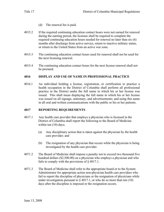- (d) The renewal fee is paid.
- 4015.2 If the required continuing education contact hours were not earned for renewal during the earning period, the licensee shall be required to complete the required continuing education hours needed for renewal no later than six (6) months after discharge from active service, return to inactive military status, or return to the United States from an active war zone.
- 4015.3 The continuing education contact hours used for renewal shall not be used for the next licensing renewal.
- 4015.4 The continuing education contact hours for the next license renewal shall not be prorated.

# **4016 DISPLAY AND USE OF NAME IN PROFESSIONAL PRACTICE**

4016.1 An individual holding a license, registration, or certification to practice a health occupation in the District of Columbia shall perform all professional practice in the District under the full name in which his or her license was issued. This shall mean displaying the full name in which his or her license was issued on all signage, stationary, and advertisements; and using this name in all oral and written communications with the public or his or her patients.

## **4017 REPORTING REQUIREMENTS**

- 4017.1 Any health care provider that employs a physician who is licensed in the District of Columbia shall report the following to the Board of Medicine within ten  $(10)$  days;
	- (a) Any disciplinary action that is taken against the physician by the health care provider; and
	- (b) The resignation of any physician that occurs while the physician is being investigated by the health care provider.
- 4071.2 The Board of Medicine shall impose a penalty not to exceed two thousand five hundred dollars (\$2,500.00) on a physician who employs a physician and who fails to comply with the provisions of § 4017.1.
- 4071.3 The Board of Medicine shall refer to the appropriate board or to the System Administrator for appropriate action non-physician health care providers who fail to report the discipline of physicians or the resignation of physicians while under investigation pursuant to  $\S$  4017.1, or who do so more than ten (10) days after the discipline is imposed or the resignation occurs.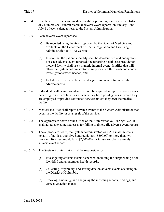- 4017.4 Health care providers and medical facilities providing services in the District of Columbia shall submit biannual adverse event reports, on January 1 and July 1 of each calendar year, to the System Administrator.
- 4017.5 Each adverse event report shall:
	- (a) Be reported using the form approved by the Board of Medicine and available on the Department of Health Regulation and Licensing Administration (HRLA) website;
	- (b) Ensure that the patient's identity shall be de-identified and anonymous. For each adverse event reported, the reporting health care provider or medical facility shall use a numeric internal event identifier that will allow the System Administrator to subpoena health records and conduct investigations when needed; and
	- (c) Include a corrective action plan designed to prevent future similar adverse events.
- 4017.6 Individual health care providers shall not be required to report adverse events occurring in medical facilities in which they have privileges or in which they are employed or provide contracted services unless they own the medical facility.
- 4017.7 Medical facilities shall report adverse events to the System Administrator that occur in the facility or as a result of the service.
- 4017.8 The appropriate board or the Office of the Administrative Hearings (OAH) shall adjudicate contested cases for failing to timely file adverse event reports.
- 4017.9 The appropriate board, the System Administrator, or OAH shall impose a penalty of not less than five hundred dollars (\$500.00) or more than two thousand five hundred dollars (\$2,500.00) for failure to submit a timely adverse event report.
- 4017.10 The System Administrator shall be responsible for:
	- (a) Investigating adverse events as needed, including the subpoenaing of deidentified and anonymous health records;
	- (b) Collecting, organizing, and storing data on adverse events occurring in the District of Columbia;
	- (c) Tracking, assessing, and analyzing the incoming reports, findings, and corrective action plans;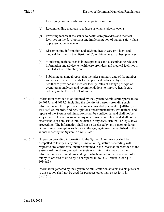- (d) Identifying common adverse event patterns or trends;
- (e) Recommending methods to reduce systematic adverse events;
- (f) Providing technical assistance to health care providers and medical facilities on the development and implementation of patient safety plans to prevent adverse events;
- (g) Disseminating information and advising health care providers and medical facilities in the District of Columbia on medical best practices;
- (h) Monitoring national trends in best practices and disseminating relevant information and advice to health care providers and medical facilities in the District of Columbia; and
- (i) Publishing an annual report that includes summary data of the number and types of adverse events for the prior calendar year by type of healthcare provider and medical facility, rates of change per type of event, other analyses, and recommendations to improve health care delivery in the District of Columbia.
- 4017.11 Information provided to or obtained by the System Administrator pursuant to §§ 4017.4 and 4017.5, including the identity of persons providing such information and the reports or documents provided pursuant to  $\S$  4016.5, as well as files, records, findings, opinions, recommendations, evaluations, and reports of the System Administrator, shall be confidential and shall not be subject to disclosure pursuant to any other provision of law, and shall not be discoverable or admissible into evidence in any civil, criminal, or legislative proceeding. The information shall not be disclosed by any person under any circumstances, except as such data in the aggregate may be published in the annual report by the System Administrator.
- 4017.12 No person providing information to the System Administrator shall be compelled to testify in any civil, criminal, or legislative proceeding with respect to any confidential matter contained in the information provided to the System Administrator, except the System Administrator may provide information in a criminal proceeding in which an individual is accused of a felony, if ordered to do so by a court pursuant to D.C. Official Code § 7-  $161(e)(3)$ .
- 4017.13 Information gathered by the System Administrator on adverse events pursuant to this section shall not be used for purposes other than as set forth in  $§$  4017.10.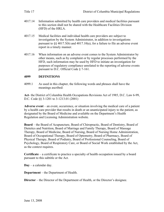- 4017.15 Medical facilities and individual health care providers are subject to investigation by the System Administrator, in addition to investigations pursuant to  $\S$ § 4017.5(b) and 4017.10(a), for a failure to file an adverse event report in a timely manner.
- 4017.16 When information on an adverse event comes to the System Administrator by other means, such as by complaint or by regular processes performed by the HFD, such information may be used by HFD to initiate an investigation for purposes of regulatory compliance unrelated to the reporting of adverse events pursuant to D.C. Official Code § 7-161.

## **4099 DEFINITIONS**

4099.1 As used in this chapter, the following words and phrases shall have the meanings ascribed:

**Act**- the District of Columbia Health Occupations Revisions Act of 1985, D.C. Law 6-99, D.C. Code §§ 3-1201 to 3-1213.01 (2001)

**Adverse event** – an event, occurrence, or situation involving the medical care of a patient by a health care provider that results in death or an unanticipated injury to the patient, as designated by the Board of Medicine and available on the Department's Health Regulation and Licensing Administration website.

**Board** – the Board of Acupuncture, Board of Chiropractic, Board of Dentistry, Board of Dietetics and Nutrition, Board of Marriage and Family Therapy, Board of Massage Therapy, Board of Medicine, Board of Nursing, Board of Nursing Home Administration, Board of Occupational Therapy, Board of Optometry, Board of Pharmacy, Board of Physical Therapy, Board of Podiatry, Board of Professional Counseling, Board of Psychology, Board of Respiratory Care, or Board of Social Work established by the Act, as the context requires.

**Certificate** – a certificate to practice a specialty of health occupation issued by a board pursuant to this subtitle or the Act.

**Day** – a calendar day.

**Department** – the Department of Health.

**Director** – the Director of the Department of Health, or the Director's designee.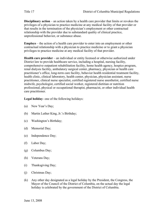**Disciplinary action** – an action taken by a health care provider that limits or revokes the privileges of a physician to practice medicine at any medical facility of that provider or that results in the termination of the physician's employment or other contractual relationship with the provider due to substandard quality of clinical practice, unprofessional behavior, or substance abuse.

**Employs** – the action of a health care provider to enter into an employment or other contractual relationship with a physician to practice medicine or to grant a physician privileges to practice medicine at any medical facility of that provider.

**Health care provider** – an individual or entity licensed or otherwise authorized under District law to provide healthcare service, including a hospital, nursing facility, comprehensive outpatient rehabilitation facility, home health agency, hospice program, renal dialysis facility, ambulatory surgical center, pharmacy, physician or health care practitioner's office, long-term care facility, behavior health residential treatment facility, health clinic, clinical laboratory, health center, physician, physician assistant, nurse practitioner, clinical nurse specialist, certified registered nurse anesthetist, certified nurse midwife, psychologist, certified social worker, registered dietitian or nutrition professional, physical or occupational therapist, pharmacist, or other individual health care practitioner.

**Legal holiday**- one of the following holidays:

- (a) New Year's Day;
- (b) Martin Luther King, Jr.'s Birthday;
- (c) Washington's Birthday;
- (d) Memorial Day;
- (e) Independence Day;
- (f) Labor Day;
- (g) Columbus Day;
- (h) Veterans Day;
- (i) Thanksgiving Day;
- (j) Christmas Day;
- (k) Any other day designated as a legal holiday by the President, the Congress, the Mayor of the Council of the District of Columbia, on the actual day the legal holiday is celebrated by the government of the District of Columbia.